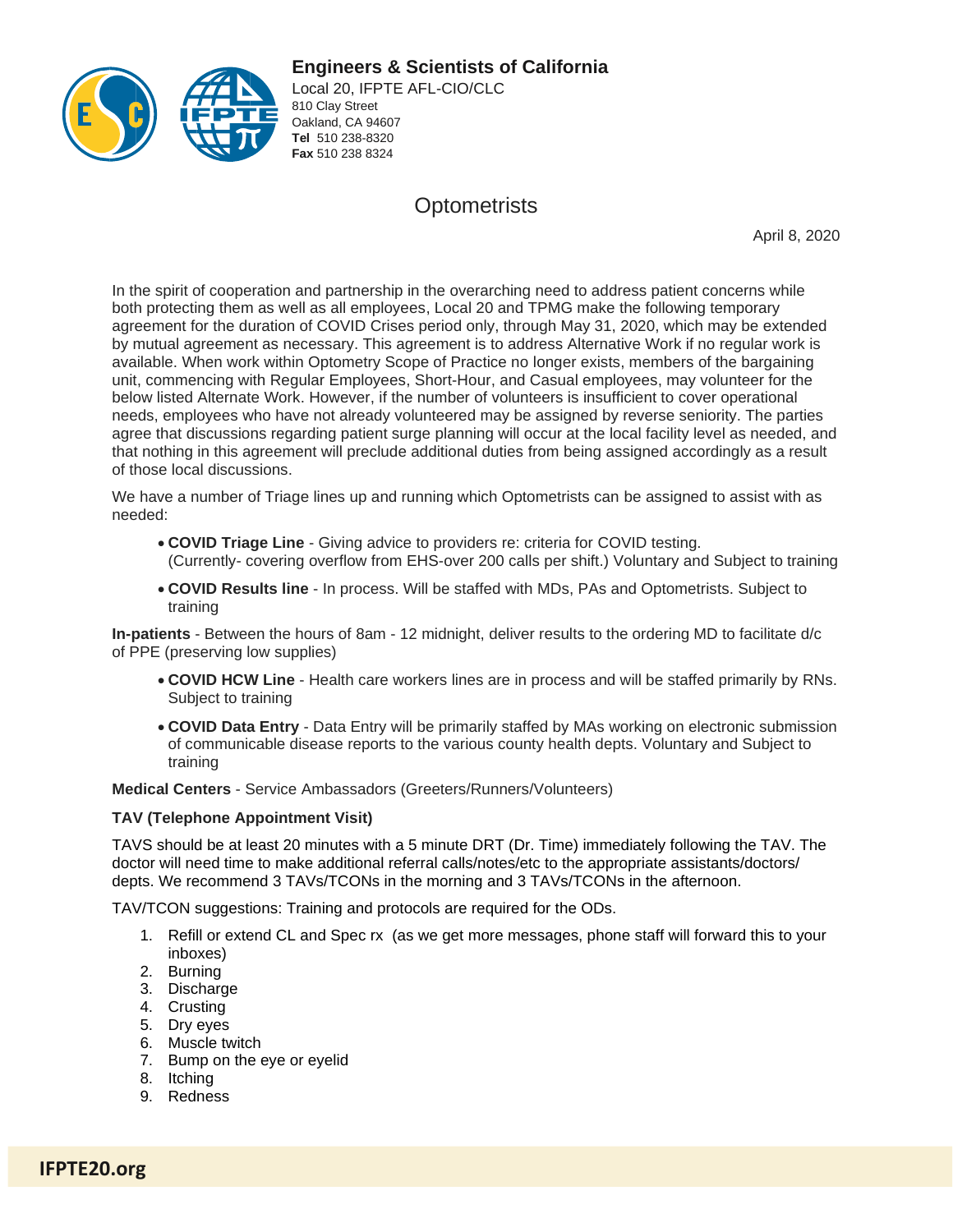**Engineers & Scientists of California** 



Local 20, IFPTE AFL-CIO/CLC 810 Clay Street Oakland, CA 94607 **Tel** 510 238-8320 **Fax** 510 238 8324

## **Optometrists**

April 8, 2020

In the spirit of cooperation and partnership in the overarching need to address patient concerns while both protecting them as well as all employees, Local 20 and TPMG make the following temporary agreement for the duration of COVID Crises period only, through May 31, 2020, which may be extended by mutual agreement as necessary. This agreement is to address Alternative Work if no regular work is available. When work within Optometry Scope of Practice no longer exists, members of the bargaining unit, commencing with Regular Employees, Short-Hour, and Casual employees, may volunteer for the below listed Alternate Work. However, if the number of volunteers is insufficient to cover operational needs, employees who have not already volunteered may be assigned by reverse seniority. The parties agree that discussions regarding patient surge planning will occur at the local facility level as needed, and that nothing in this agreement will preclude additional duties from being assigned accordingly as a result of those local discussions.

We have a number of Triage lines up and running which Optometrists can be assigned to assist with as needed:

- **COVID Triage Line** Giving advice to providers re: criteria for COVID testing. (Currently- covering overflow from EHS-over 200 calls per shift.) Voluntary and Subject to training
- **COVID Results line** In process. Will be staffed with MDs, PAs and Optometrists. Subject to training

**In-patients** - Between the hours of 8am - 12 midnight, deliver results to the ordering MD to facilitate d/c of PPE (preserving low supplies)

- **COVID HCW Line** Health care workers lines are in process and will be staffed primarily by RNs. Subject to training
- **COVID Data Entry** Data Entry will be primarily staffed by MAs working on electronic submission of communicable disease reports to the various county health depts. Voluntary and Subject to training

**Medical Centers** - Service Ambassadors (Greeters/Runners/Volunteers)

## **TAV (Telephone Appointment Visit)**

TAVS should be at least 20 minutes with a 5 minute DRT (Dr. Time) immediately following the TAV. The doctor will need time to make additional referral calls/notes/etc to the appropriate assistants/doctors/ depts. We recommend 3 TAVs/TCONs in the morning and 3 TAVs/TCONs in the afternoon.

TAV/TCON suggestions: Training and protocols are required for the ODs.

- 1. Refill or extend CL and Spec rx (as we get more messages, phone staff will forward this to your inboxes)
- 2. Burning
- 3. Discharge
- 4. Crusting
- 5. Dry eyes
- 6. Muscle twitch
- 7. Bump on the eye or eyelid
- 8. Itching
- 9. Redness